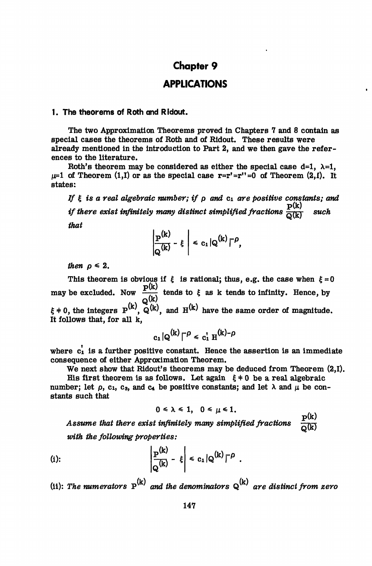# **Chapter 9**

# **APPLICATIONS**

#### **1. The theorems of Roth and Ridout.**

The two Approximation Theorems proved in Chapters 7 and 8 contain as special cases the theorems of Roth and of Ridout. These results were already mentioned in the introduction to Part 2, and we then gave the references to the literature.

Roth's theorem may be considered as either the special case  $d=1$ ,  $\lambda=1$ ,  $\mu=1$  of Theorem (1,I) or as the special case  $\mathbf{r}=\mathbf{r'}=\mathbf{r''}=0$  of Theorem (2,I). It states:

*If £ is a real algebraic number; if p and* ci *are positive constants; and if there exist infinitely many distinct simplified fractions*  $\frac{P(k)}{Q(k)}$  *such that*

$$
\left|\frac{P^{(k)}}{Q^{(k)}}-\xi\right|\leq c_1|Q^{(k)}|^{-\rho},
$$

*then*  $\rho \leq 2$ .

This theorem is obvious if  $\xi$  is rational; thus, e.g. the case when  $\xi = 0$ may be excluded. Now  $\frac{p(k)}{k}$  tends to  $\xi$  as k tends to infinity. Hence, by  $\xi$  + 0, the integers  $P^{(k)}$ ,  $Q^{(k)}$ , and  $H^{(k)}$  have the same order of magnitude. It follows that, for all k,

$$
c_1|Q^{(k)}|^{-\rho} \leq c_1' H^{(k)-\rho}
$$

where  $c_1$  is a further positive constant. Hence the assertion is an immediate consequence of either Approximation Theorem.

We next show that Ridout's theorems may be deduced from Theorem  $(2,1)$ .

His first theorem is as follows. Let again  $\xi \neq 0$  be a real algebraic number; let  $\rho$ , c<sub>1</sub>, c<sub>3</sub>, and c<sub>4</sub> be positive constants; and let  $\lambda$  and  $\mu$  be constants such that

$$
0\leq \lambda \leq 1, \quad 0\leq \mu \leq 1.
$$

Assume that there exist infinitely many simplified fractions  $\frac{p(k)}{6(k)}$ 

with the following properties:  
\n(i):  
\n
$$
\left|\frac{P^{(k)}}{Q^{(k)}} - \xi\right| \leq c_1 |Q^{(k)}|^{-\rho}.
$$

(ii): The numerators  $P^{(k)}$  and the denominators  $Q^{(k)}$  are distinct from zero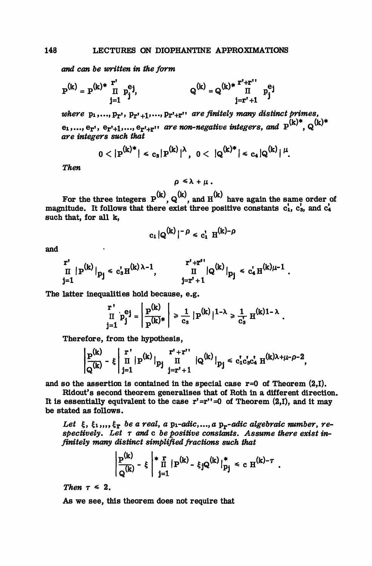*and can be written in the form*

$$
P^{(k)} = P^{(k)*} \prod_{j=1}^{r'} p_j^{e_j} j, \qquad Q^{(k)} = Q^{(k)*} \prod_{j=r'+1}^{r'+r''} p_j^{e_j}
$$

where  $p_1, ..., p_{T}$ ,  $p_{T'+1}, ..., p_{T'+T}$ , are finitely many distinct primes, e<sub>1</sub>,..., e<sub>r'</sub>, e<sub>r'+1</sub>,..., e<sub>r'+r'</sub>' are non-negative integers, and  $P^{(k)*}$ ,  $Q^{(k)*}$ *integers such that*

$$
0<|P^{(k)*}|
$$

Then

$$
\rho \leq \lambda + \mu.
$$

For the three integers  $P^{(k)}$ ,  $Q^{(k)}$ , and  $H^{(k)}$  have again the same order of magnitude. It follows that there exist three positive constants  $c_1$ ,  $c_3$ , and  $c_4$ such that, for all k,

$$
c_1 | Q^{(k)}|^{-\rho} \leq c_1^{\dagger} H^{(k)-\rho}
$$

and

$$
\left.\begin{array}{lll}r'\\ \Pi & P^{(k)}\end{array}\right|_{p_j} \leqslant c_s^{\prime} \pi^{(k) \, \lambda - 1}, \hspace{1cm} \left.\begin{array}{lll} & r' + r'' \\ \Pi & |Q^{(k)}|_{p_j} \leqslant c_4^{\prime} \, \pi^{(k) \mu - 1} \\ & j = r' + 1\end{array}\right.
$$

and the company

 $\mathbb{R}^{\mathbb{Z}}$ 

The latter inequalities hold because, e.g.

$$
\prod_{j=1}^{r} p_j^{e_j} = \left| \frac{p^{(k)}}{p^{(k)*}} \right| \ge \frac{1}{c_s} \left| p^{(k)} \right|^{1-\lambda} \ge \frac{1}{c_s} \cdot H^{(k)1-\lambda}.
$$

**Therefore, from the hypothesis,**

$$
\left|\frac{p^{(k)}}{Q^{(k)}}-\xi\right|\prod_{j=1}^{r^*} |p^{(k)}|_{p_j}\prod_{j=r^*+1}^{r^*+r^{**}}|Q^{(k)}|_{p_j}\leqslant c_1'c_3'c_4'\;H^{(k)\lambda+\mu-\rho-2},
$$

and so the assertion is contained in the special case  $r=0$  of Theorem  $(2,1)$ .

Ridout's second theorem generalises that of Roth in a different direction. It is essentially equivalent to the case  $r' = r'' = 0$  of Theorem (2,I), and it may be stated as follows.

Let  $\xi$ ,  $\xi_1, \ldots, \xi_{\Gamma}$  be a real, a p<sub>1</sub>-adic,...,a p<sub>r</sub>-adic algebraic number, respectively. Let  $\tau$  and  $c$  be positive constants. Assume there exist in*finitely many distinct simplified fractions such that*

$$
\left|\frac{{\bf p}^{(k)}}{{\bf q}^{(k)}}-\xi\;\right|^{*}\prod_{j=1}^{r}|{\bf p}^{(k)}-\xi_{j}{\bf Q}^{(k)}|\big|_{p_{j}}^{*}\,<\,c\ {\bf H}^{(k)-\tau}\ .
$$

*Then*  $\tau \leq 2$ .

As we see, this theorem does not require that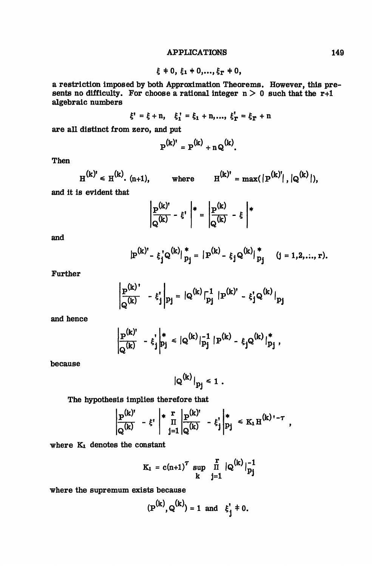### APPLICATIONS 149

$$
\xi
$$
  $\neq$  0,  $\xi_1$   $\neq$  0,...,  $\xi_{\text{r}}$   $\neq$  0,

a restriction imposed by both Approximation Theorems. However, this presents no difficulty. For choose a rational integer  $n > 0$  such that the r+1 algebraic numbers

$$
\xi' = \xi + n, \quad \xi_1' = \xi_1 + n, ..., \xi_T' = \xi_T + n
$$

are all distinct from zero, and put

$$
\mathbf{P}^{(k)'} = \mathbf{P}^{(k)} + \mathbf{n} \mathbf{Q}^{(k)}.
$$

Then

$$
H^{(k)'} \le H^{(k)}
$$
. (n+1), where  $H^{(k)'} = \max(|P^{(k)'}|, |Q^{(k)}|)$ ,

and it is evident that

$$
\left|\frac{P^{(k)'} }{Q^{(k)}} - \xi^* \right|_* = \left|\frac{P^{(k)} }{Q^{(k)}} - \xi\right|_*
$$

and

$$
P^{(k)'} - \xi_j^* Q^{(k)}|_{p_j}^* = |P^{(k)} - \xi_j Q^{(k)}|_{p_j}^*
$$
 (j = 1,2,...,r).

Further

$$
\left|\frac{\mathbf{p}^{(k)}}{\mathbf{q}^{(k)}} - \xi_j^{\mathsf{I}}\right|\mathbf{p}_j = |\mathbf{q}^{(k)}|_{\mathbf{p}_j}^{-1} |\mathbf{P}^{(k)'} - \xi_j^{\mathsf{I}} \mathbf{q}^{(k)}|_{\mathbf{p}_j}
$$

and hence

$$
\frac{P^{(k)'} }{Q^{(k)}} - \xi_j^* \bigg|_{p_j}^* \leq |Q^{(k)}|_{p_j}^{-1} |P^{(k)} - \xi_j Q^{(k)}|_{p_j}^*,
$$

because

$$
|Q^{(k)}|_{p_j} \leq 1
$$

The hypothesis implies therefore that

$$
\left|\frac{p^{(k)'} }{Q^{(k)}} - \xi' \; \right| * \frac{r}{\Pi} \left|\frac{p^{(k)'} }{Q^{(k)}} - \xi'_j \right|_{p_j}^* \leq K_1 H^{(k)\, - \tau} ,
$$

where K<sub>1</sub> denotes the constant

$$
K_1 = c(n+1)^{T} \sup_{k} \prod_{j=1}^{r} |Q^{(k)}|_{p_j}^{-1}
$$

where the supremum exists because

$$
(P^{(k)}, Q^{(k)}) = 1
$$
 and  $\xi'_{j} \neq 0$ .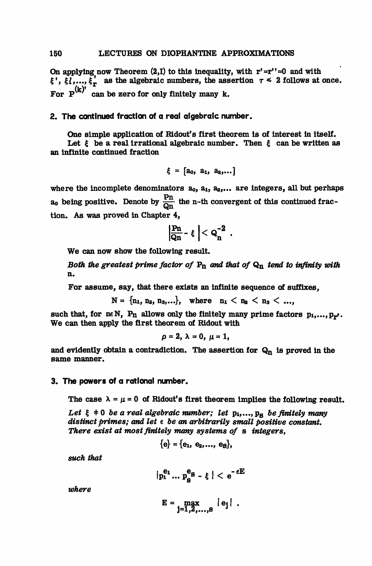On applying now Theorem  $(2,1)$  to this inequality, with  $r' = r'' = 0$  and with  $\zeta^1, \zeta_1^1, \ldots, \zeta_r^1$  as the algebraic numbers, the assertion  $\tau \leq 2$  follows at once. For  $P^{(k)}$  can be zero for only finitely many k.

### **2. The continued fraction of a real algebraic number.**

One simple application of Ridout's first theorem is of interest in itself. Let  $\xi$  be a real irrational algebraic number. Then  $\xi$  can be written as an infinite continued fraction

$$
\xi = [a_0, a_1, a_2,...]
$$

where the incomplete denominators  $a_0$ ,  $a_1$ ,  $a_2$ ,... are integers, all but perhaps  $a_0$  being positive. Denote by  $\frac{Pn}{Qn}$  the n-th convergent of this continued fraction. As was proved in Chapter 4,

$$
\left|\frac{Pn}{Qn}-\xi\right|
$$

We can now show the following result.

*Both the greatest prime factor of* Pn *and that of* Qn *tend to infinity with* n.

For assume, say, that there exists an infinite sequence of suffixes,

 $N = \{n_1, n_2, n_3, ...\}$ , where  $n_1 < n_2 < n_3 < ...$ ,

such that, for neN, Pn allows only the finitely many prime factors  $p_1,...,p_{r'}$ . We can then apply the first theorem of Ridout with

 $\rho = 2$ ,  $\lambda = 0$ ,  $\mu = 1$ ,

and evidently obtain a contradiction. The assertion for  $Q_n$  is proved in the same manner.

#### **3. The powers of a rational number.**

The case  $\lambda = \mu = 0$  of Ridout's first theorem implies the following result.

Let  $\xi$   $\neq$  0 *be a real algebraic number; let*  $p_1, ..., p_g$  *be finitely many distinct primes; and let e be an arbitrarily small positive constant. There exist at most finitely many systems of* s *integers,*

$$
\{e\} = \{e_1, e_2, \ldots, e_S\},\
$$

*such that*

$$
|p_1^{e_1} \dots p_s^{e_S} - \xi| < e^{-\varepsilon E}
$$

*where*

$$
E = \max_{j=1,2,\ldots, s} |e_j|.
$$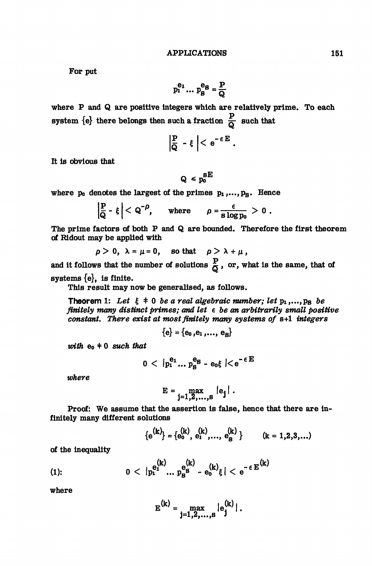For put

$$
p_1^{e_1} \dots p_S^{e_S} = \frac{P}{Q}
$$

where P and Q are positive integers which are relatively prime. To each system  $\{e\}$  there belongs then such a fraction  $\frac{P}{Q}$  such that

$$
\left|\frac{P}{Q} - \xi\right| < e^{-\epsilon E}.
$$

It is obvious that

$$
Q \leq p_0^{S E}
$$

where  $p_0$  denotes the largest of the primes  $p_1, \ldots, p_S$ . Hence

$$
\left|\frac{P}{Q} - \xi\right| < Q^{-\rho}, \quad \text{where} \quad \rho = \frac{\epsilon}{s \log p_0} > 0 \; .
$$

The prime factors of both P and Q are bounded. Therefore the first theorem of Hidout may be applied with

$$
\rho > 0, \ \lambda = \mu = 0, \quad \text{so that} \quad \rho > \lambda + \mu,
$$

and it follows that the number of solutions  $\frac{P}{C}$ , or, what is the same, that of systems {e}, is finite.

This result may now be generalised, as follows.

**Theorem 1:** Let  $\xi \neq 0$  be a real algebraic number; let  $p_1,...,p_B$  be *finitely many distinct primes; and let e be an arbitrarily small positive constant. There exist at most finitely many systems of* s+1 *integers*

$$
\{\mathbf e\}=\{\mathbf e_0\,,\mathbf e_1\,,\ldots,\,\mathbf e_{\mathbf B}\}
$$

*with*  $e_0 \neq 0$  *such that* 

$$
0 < |p_1^{e_1} \dots p_S^{e_S} - e_0 \xi| < e^{-\epsilon E}
$$

*where*

$$
E = \max_{j=1,2,\ldots,S} |e_j|.
$$

Proof: We assume that the assertion is false, hence that there are infinitely many different solutions

$$
\{e^{(k)}\} = \{e_0^{(k)}, e_1^{(k)}, \dots, e_B^{(k)}\} \qquad (k = 1, 2, 3, \dots)
$$

of the inequality

(1): 
$$
0 < |p_1^{(k)} \dots p_B^{(k)} = e_0^{(k)} \xi | < e^{-\epsilon E^{(k)}}
$$

where

$$
E^{(k)} = \max_{j=1,2,...,s} |e^{(k)}_j|.
$$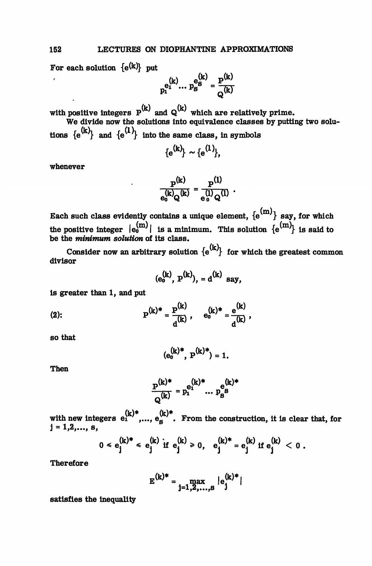For each solution  $\{e^{(k)}\}\$ put

 $\binom{k}{1}$  ...  $p_S^{e_S^{(k)}}$ 

with positive integers  $P^{(K)}$  and  $Q^{(K)}$  which are relatively prime. We divide now the solutions into equivalence classes by putting two solu-

tions  ${e^{(k)}}$  and  ${e^{(1)}}$  into the same class, in symbols

$$
\{e^{(k)}\}\sim\{e^{(1)}\},
$$

whenever

$$
\frac{\mathbf{P}^{(k)}}{\mathbf{e}_0^{(k)}\mathbf{Q}^{(k)}} = \frac{\mathbf{P}^{(1)}}{\mathbf{e}_0^{(1)}\mathbf{Q}^{(1)}}.
$$

Each such class evidently contains a unique element,  $\{ {\bf e^{(m)}} \}$  say, for which the positive integer  $|e_0^{(m)}|$  is a minimum. This solution  $\{e^{(m)}\}$  is said to be the *minimum solution* of its class.

Consider now an arbitrary solution  ${e^{(k)}}$  for which the greatest common divisor

$$
(e_0^{(k)}, P^{(k)})
$$
, =  $d^{(k)}$  say,

is greater than 1, and put

(2): 
$$
P^{(k)*} = \frac{P^{(k)}}{d^{(k)}}, \quad e_0^{(k)*} = \frac{e^{(k)}}{d^{(k)}},
$$

so that

$$
(e_0^{(k)*}, P^{(k)*}) = 1.
$$

Then

$$
\frac{p^{(k)*}}{Q^{(k)}} = p_1^{e_1^{(k)*}} \dots p_s^{e_s^{(k)*}}
$$

with new integers  $e_1^{(k)*},...,e_g^{(k)*}$ . From the construction, it is clear that, for  $j = 1, 2, \ldots, s$ ,

$$
0 \leq e_j^{(k)*} \leq e_j^{(k)} \text{ if } e_j^{(k)} \geq 0, \quad e_j^{(k)*} = e_j^{(k)} \text{ if } e_j^{(k)} < 0.
$$

**Therefore** 

$$
E^{(k)*} = \max_{j=1,2,...,s} |e^{(k)*}_j|
$$

satisfies the inequality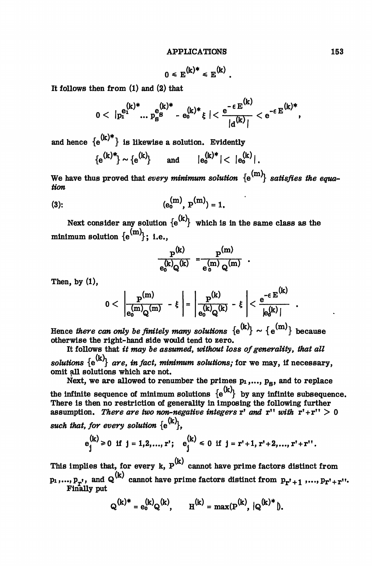$$
0 \leqslant E^{(k)*} \leqslant E^{(k)}.
$$

It follows then from (1) and (2) that

$$
0 < |p_1^{e_1^{(k)*}} \dots p_8^{e_8^{(k)*}} - e_0^{(k)*} \xi | < \frac{e^{-\epsilon E^{(k)}}}{|d^{(k)}|} < e^{-\epsilon E^{(k)*}},
$$

and hence  ${e^{(k)*}}$  is likewise a solution. Evidently

$$
\{e^{(k)*}\}\sim \{e^{(k)}\} \qquad \text{and} \qquad |e_0^{(k)*}| < |e_0^{(k)}|.
$$

We have thus proved that *every minimum solution*  $\{e^{(m)}\}$  satisfies the equa*tion*

(3): 
$$
(e_0^{(m)}, P^{(m)}) = 1.
$$

Next consider any solution  $\{e^{(k)}\}$  which is in the same class as the minimum solution  ${e^{(m)}}$ : i.e.,

$$
\frac{P^{(k)}}{e_0^{(k)}Q^{(k)}} = \frac{P^{(m)}}{e_0^{(m)}Q^{(m)}}
$$

Then, by (1),

$$
0 < \left| \frac{P^{(m)}}{e_0^{(m)}Q^{(m)}} - \xi \right| = \left| \frac{P^{(k)}}{e_0^{(k)}Q^{(k)}} - \xi \right| < \frac{e^{-\epsilon E^{(k)}}}{|e_0^{(k)}|}
$$

Hence *there can only be finitely many solutions*  $\{e^{(k)}\} \sim \{e^{(m)}\}$  because otherwise the right-hand side would tend to zero.

It follows that *it may be assumed, without loss of generality, that all solutions*  $\{e^{(k)}\}$  *are, in fact, minimum solutions;* for we may, if necessary, omit all solutions which are not.

Next, we are allowed to renumber the primes  $p_1, \ldots, p_g$ , and to replace the infinite sequence of minimum solutions  ${e^{(k)}}$  by any infinite subsequence. There is then no restriction of generality in imposing the following further assumption. There are two non-negative integers  $r'$  and  $r''$  with  $r' + r'' > 0$ *such that, for every solution*  $\{e^{(k)}\}$ .

$$
e_j^{(k)} \ge 0
$$
 if  $j = 1, 2, ..., r^*$ ;  $e_j^{(k)} \le 0$  if  $j = r^* + 1, r^* + 2, ..., r^* + r^{**}$ .

This implies that, for every k,  $\textbf{P}^{\left(\mathbf{k}\right)}$  cannot have prime factors distinct from  $p_1,..., p_{r'}$ , and  $Q^{(K)}$  cannot have prime factors distinct from  $p_{r'+1},..., p_{r'+1}$ Finally put

$$
Q^{(k)*} = e_0^{(k)} Q^{(k)}, \qquad H^{(k)} = \max(P^{(k)}, |Q^{(k)*}|).
$$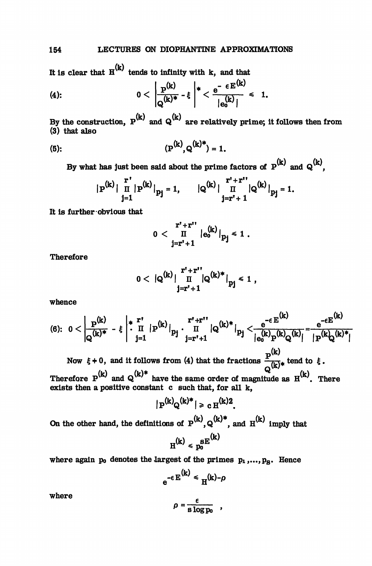It is clear that  $H^{(k)}$  tends to infinity with k, and that

(4): 
$$
0 < \left| \frac{\mathbf{p}^{(k)}}{\mathbf{q}^{(k)*}} - \xi \right|^* < \frac{\mathbf{e}^{-\epsilon E^{(k)}}}{|\mathbf{e}_0^{(k)}|} < 1.
$$

By the construction,  $P^{(k)}$  and  $Q^{(k)}$  are relatively prime; it follows then from (3) that also

(5): 
$$
(P^{(k)}, Q^{(k)*}) = 1.
$$

By what has just been said about the prime factors of  $P^{(k)}$  and  $Q^{(k)}$ .

$$
|\mathbf{P}^{(k)}| \prod_{j=1}^r |\mathbf{P}^{(k)}|_{p_j} = 1, \qquad | \mathbf{Q}^{(k)}| \prod_{j=r^*+1}^{r^*+r^{**}} |\mathbf{Q}^{(k)}|_{p_j} = 1.
$$

It is further-obvious that

$$
0 < \frac{r' + r''}{\prod_{j = r' + 1}^{r'} |e_0^{(k)}|} p_j \le 1.
$$

Therefore

$$
0 < |Q^{(k)}| \prod_{j=r'+1}^{r'+r''} |Q^{(k)*}|_{pj} \le 1,
$$

whence

$$
(6): \ 0<\left|\frac{P^{(k)}}{Q^{(k)^*}}-\xi\right|^* \frac{r^*}{I!}\left|P^{(k)}\right|_{p_j}\cdot \frac{r^*+r^*}{I!}\left|Q^{(k)^*}\right|_{p_j}<\frac{e^{-\varepsilon\,E^{(k)}}}{\left|e_0^{(k)}P^{(k)}Q^{(k)}\right|}=\frac{e^{-\varepsilon E^{(k)}}}{\left|P^{(k)}Q^{(k)^*}\right|}
$$

Now  $\xi + 0$ , and it follows from (4) that the fractions  $\frac{P}{\sqrt{b}}\frac{1}{\sqrt{b}}$  tend to  $\xi$ . Therefore  $P^{(K)}$  and  $Q^{(K)^{+}}$  have the same order of magnitude as  $H^{(K)}$ . There exists then a positive constant c such that, for all k,

$$
|\mathbf{P}^{(k)}\mathbf{Q}^{(k)*}| \geq \mathbf{C} \mathbf{H}^{(k)2}.
$$

On the other hand, the definitions of  $P^{(k)}$ ,  $Q^{(k)*}$ , and  $H^{(k)}$  imply that

$$
H^{(k)} \leqslant p_0^{SE^{(k)}}
$$

where again  $p_0$  denotes the largest of the primes  $p_1, ..., p_S$ . Hence

$$
e^{-\epsilon E^{(k)}} \leq H^{(k)-\rho}
$$

where

$$
\rho = \frac{\epsilon}{\mathrm{s} \log p_0} \quad ,
$$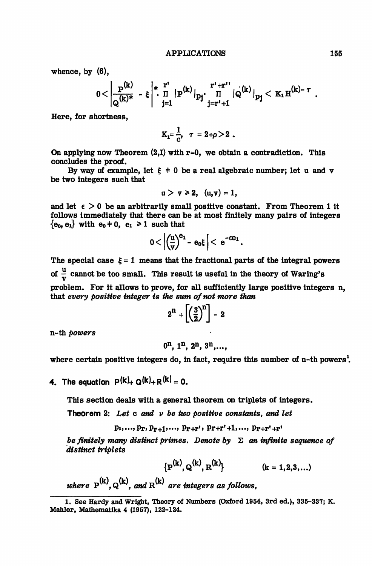whence, by (6),

0< -f-\* •\* Q

Here, for shortness,

$$
K_1 = \frac{1}{c}, \quad \tau = 2 + \rho > 2.
$$

On applying now Theorem  $(2,1)$  with r=0, we obtain a contradiction. This concludes the proof.

By way of example, let  $\xi + 0$  be a real algebraic number; let u and v be two integers such that

$$
u > v \ge 2, (u,v) = 1,
$$

and let  $\epsilon > 0$  be an arbitrarily small positive constant. From Theorem 1 it follows immediately that there can be at most finitely many pairs of integers  ${e_0, e_1}$  with  $e_0 \neq 0$ ,  $e_1 \geq 1$  such that

$$
0<\left|\left(\frac{u}{v}\right)^{\mathbf{e_1}}-\mathbf{e_0}\xi\right|<\,\mathbf{e}^{-\epsilon\mathbf{e_1}}.
$$

The special case  $\xi = 1$  means that the fractional parts of the integral powers of  $\frac{u}{v}$  cannot be too small. This result is useful in the theory of Waring's problem. For it allows to prove, for all sufficiently large positive integers n, that *every positive integer is the sum of not more than*

$$
2^{n}+\left[\left(\frac{3}{2}\right)^{n}\right]-2
$$

n-th *powers*

$$
0^n, 1^n, 2^n, 3^n, \ldots,
$$

where certain positive integers do, in fact, require this number of n-th powers<sup>1</sup>.

4. The equation  $P(k)_{+} Q(k)_{+} R(k) = 0.$ 

This section deals with a general theorem on triplets of integers.

Theorem 2: *Let* c *and v be two positive constants, and let*

 $p_1, ..., p_T, p_{T+1}, ..., p_{T+T}$ ,  $p_{T+T'+1}, ..., p_{T+T'+T}$ 

*be finitely many distinct primes. Denote by*  $\Sigma$  *an infinite sequence of distinct triplets*

$$
{p^{(k)}, Q^{(k)}, R^{(k)}}
$$
 (k = 1,2,3,...)

*where*  $P^{(k)}$ ,  $Q^{(k)}$ *, and*  $R^{(k)}$  *are integers as follows,* 

<sup>1.</sup> See Hardy and Wright, Theory of Numbers (Oxford 1954, 3rd ed.), 335-337; K. Mahler, Mathematika 4 (1957), 122-124.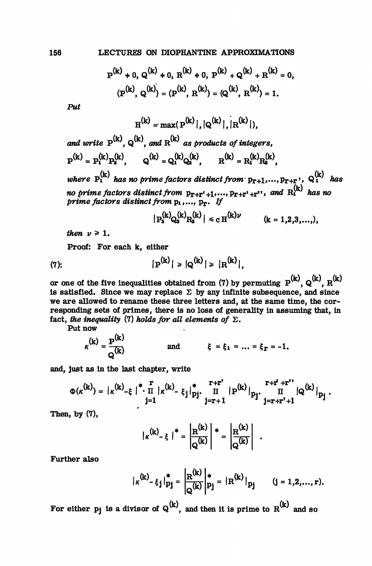$$
P^{(k)} + 0
$$
,  $Q^{(k)} + 0$ ,  $R^{(k)} + 0$ ,  $P^{(k)} + Q^{(k)} + R^{(k)} = 0$ ,  
\n $(P^{(k)}, Q^{(k)}) = (P^{(k)}, R^{(k)}) = (Q^{(k)}, R^{(k)}) = 1$ .

*Put*

$$
H^{(k)} = max(P^{(k)}|, |Q^{(k)}|, |R^{(k)}|),
$$

*and write*  $P^{(k)}$ ,  $Q^{(k)}$ , and  $R^{(k)}$  as products of integers,  $P^{(k)} = P^{(k)}_1 P^{(k)}_2, \qquad Q^{(k)} = Q^{(k)}_1 Q^{(k)}_2, \qquad R^{(k)} = R^{(k)}_1 R^{(k)}_2,$ *where*  $P_i^{(k)}$  has no prime factors distinct from  $p_{r+1},...,p_{r+r}$ <sup>*i*</sup>,  $Q_i^{(k)}$  has no prime factors distinct from  $p_{r+r^*+1},..., p_{r+r^*+r^*},$  and  $R_1^{(k)}$  has no *prime factors distinct from* p<sub>1</sub>,..., p<sub>r</sub>. If

$$
|P_2^{(k)}Q_2^{(k)}R_2^{(k)}| \le c H^{(k)\nu} \qquad (k = 1, 2, 3, ...,),
$$

then  $\nu \geq 1$ .

Proof: For each k, either

(7): 
$$
|\mathbf{P}^{(k)}| \geq |\mathbf{Q}^{(k)}| \geq |\mathbf{R}^{(k)}|,
$$

or one of the five inequalities obtained from (7) by permuting  $P^{(k)}$ ,  $Q^{(k)}$ ,  $R^{(k)}$ is satisfied. Since we may replace  $\Sigma$  by any infinite subsequence, and since we are allowed to rename these three letters and, at the same time, the corresponding sets of primes, there is no loss of generality in assuming that, in fact, the inequality (7) holds for all elements of  $\Sigma$ .

Put now

$$
\kappa^{(k)} = \frac{p^{(k)}}{Q^{(k)}} \quad \text{and} \quad \xi = \xi_1 = \ldots = \xi_T = -1.
$$

and, just as in the last chapter, write

$$
\Phi(\kappa^{(k)}) = {\mid \kappa^{(k)}_{-\xi} \mid}^* \cdot \frac{r}{\pi} {\mid \kappa^{(k)}_{-\xi_j} \mid}^*_{pj} \cdot \frac{r+r^*}{\pi} {\mid p^{(k)}_{\xi_j} \mid}^*_{pj} \cdot \frac{r+r^* + r^*}{\pi} {\mid Q^{(k)}_{\xi_j} \mid}^*_{pj}.
$$

Then, by (7),

$$
|\kappa^{(k)} - \xi|^{*} = \left| \frac{R^{(k)}}{Q^{(k)}} \right|^{*} = \left| \frac{R^{(k)}}{Q^{(k)}} \right|
$$

Further also

$$
|\kappa^{(k)} - \xi_j|_{p_j}^* = \left| \frac{R^{(k)}}{Q^{(k)}} \right|_{p_j}^* = |R^{(k)}|_{p_j} \qquad (j = 1, 2, ..., r).
$$

For either  $p_i$  is a divisor of  $Q^{(k)}$ , and then it is prime to  $R^{(k)}$  and so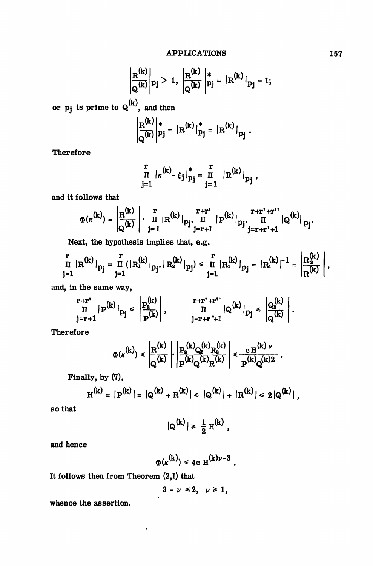$$
\left|\frac{R^{(k)}}{Q^{(k)}}\right| p_j > 1, \ \left|\frac{R^{(k)}}{Q^{(k)}}\right|_{pj}^{*} = |R^{(k)}|_{pj} = 1;
$$

or  $p_j$  is prime to  $\mathbf{\mathsf{Q}}^{(k)}$ , and then

$$
\left| \frac{\mathbf{R}^{(k)}}{\mathbf{Q}^{(k)}} \right|_{p_{j}}^{*} = | \mathbf{R}^{(k)} |_{p_{j}}^{*} = | \mathbf{R}^{(k)} |_{p_{j}}.
$$

Therefore

$$
\prod_{j=1}^r |k^{(k)} - \xi_j|_{p_j}^* = \prod_{j=1}^r |R^{(k)}|_{p_j},
$$

and it follows that

$$
\Phi(\kappa^{(k)}) = \left| \frac{R^{(k)}}{Q^{(k)}} \right| \cdot \prod_{j=1}^r |R^{(k)}|_{p_j} \cdot \prod_{j=r+1}^{r+r'} |P^{(k)}|_{p_j} \cdot \prod_{j=r+r'+1}^{r+r'+r''} |Q^{(k)}|_{p_j}.
$$

Next, the hypothesis implies that, e.g.

$$
\frac{r}{\pi} |R^{(k)}|_{p_j} = \frac{r}{\pi} (|R_1^{(k)}|_{p_j}, |R_2^{(k)}|_{p_j}) \le \frac{r}{\pi} |R_1^{(k)}|_{p_j} = |R_1^{(k)}|^{-1} = \left| \frac{R_2^{(k)}}{R^{(k)}} \right|,
$$

and, in the same way,

$$
\left.\begin{array}{c|c}r+r'\\ \Pi&|P^{(k)}\left|_{p_j}\right|<\end{array}\right|\left.\begin{array}{c|c}p_k^{(k)}\\ \hline p^{(k)}\end{array}\right|,\qquad\quad \left.\begin{array}{c|c}r+r'+r''&\\ \Pi&|Q^{(k)}\left|_{p_j}\right|<\end{array}\right|\left.\begin{array}{c}Q_2^{(k)}\\ \hline Q^{(k)}\end{array}\right|.
$$

Therefore

$$
\Phi(\kappa^{(k)}) \leq \left|\frac{\mathbf{R}^{(k)}}{\mathbf{Q}^{(k)}}\right| \cdot \left|\frac{\mathbf{P}_2^{(k)}\mathbf{Q}_2^{(k)}\mathbf{R}_2^{(k)}}{\mathbf{P}^{(k)}\mathbf{Q}^{(k)}\mathbf{R}^{(k)}}\right| \leq \frac{c\,\mathbf{H}^{(k)\,\nu}}{\mathbf{P}^{(k)}\mathbf{Q}^{(k)2}}\ .
$$

Finally, by (7),

$$
H^{(k)} = |P^{(k)}| = |Q^{(k)} + R^{(k)}| \le |Q^{(k)}| + |R^{(k)}| \le 2|Q^{(k)}|,
$$

so that

$$
|Q^{(k)}| \geq \frac{1}{2} H^{(k)},
$$

and hence

$$
\Phi(\kappa^{(k)}) \leq 4c \operatorname{H}^{(k)\nu-3}.
$$

It follows then from Theorem (2,1) that

$$
3-\nu\leq 2,\ \nu\geq 1,
$$

 $\pmb{\cdot}$ 

.

whence the assertion.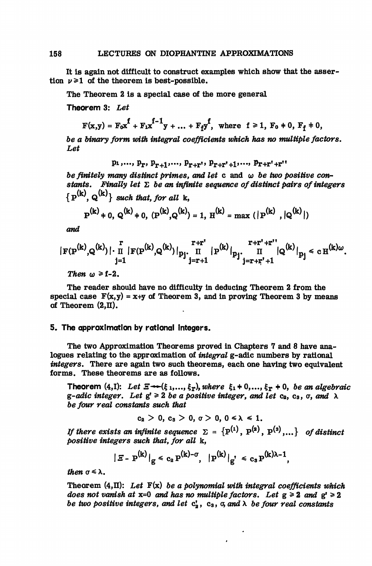It is again not difficult to construct examples which show that the assertion  $\nu \geq 1$  of the theorem is best-possible.

The Theorem 2 is a special case of the more general

Theorem 3: *Let*

$$
F(x,y) = F_0 x^f + F_1 x^{f-1} y + ... + F_f y^f, \text{ where } f \ge 1, F_0 + 0, F_f + 0,
$$

*be a binary form with integral coefficients which has no multiple factors. Let*

$$
p_1, ..., p_r, p_{r+1}, ..., p_{r+r}, p_{r+r'+1}, ..., p_{r+r'+r''}
$$

*be finitely many distinct primes, and let* c and co *be two positive constants. Finally let* 2 *be an infinite sequence of distinct pairs of integers*  ${P^{(k)}, Q^{(k)}}$  *such that, for all* k

$$
P^{(k)} + 0, Q^{(k)} + 0, (P^{(k)}, Q^{(k)}) = 1, H^{(k)} = \max (|P^{(k)}, |Q^{(k)}|)
$$

*and*

$$
|\operatorname{F}(\operatorname{P}^{(k)}, \operatorname{Q}^{(k)})| \cdot \operatorname*{I}\limits_{j=1}^r |\operatorname{F}(\operatorname{P}^{(k)}, \operatorname{Q}^{(k)})|_{p_j^\centerdot} \operatorname*{I}\limits_{j=r+1}^{r+r^\centerdot} |\operatorname{P}^{(k)}|_{p_j^\centerdot} \operatorname*{I}\limits_{j=r+r^\centerdot+1}^{r+r^\centerdot+r^{\centerdot}} |\operatorname{Q}^{(k)}|_{p_j} \leq c \operatorname{H}^{(k)\omega}.
$$

*Then*  $\omega \geq f-2$ .

The reader should have no difficulty in deducing Theorem 2 from the special case  $F(x,y) = x+y$  of Theorem 3, and in proving Theorem 3 by means of Theorem  $(2,\mathbb{I})$ .

## 5. The approximation by rational integers.

The two Approximation Theorems proved in Chapters 7 and 8 have analogues relating to the approximation of *integral* g-adic numbers by rational *integers.* There are again two such theorems, each one having two equivalent forms. These theorems are as follows.

Theorem  $(4,I)$ : Let  $\Xi \rightarrow (\xi_1,...,\xi_T)$ , where  $\xi_1 + 0,...,\xi_T + 0$ , be an algebraic g-adic integer. Let  $g' \geq 2$  be a positive integer, and let  $c_2$ ,  $c_3$ ,  $\sigma$ , and  $\lambda$ *be four real constants such that*

 $c_2 > 0$ ,  $c_3 > 0$ ,  $\sigma > 0$ ,  $0 \le \lambda \le 1$ .

*If there exists an infinite sequence*  $\Sigma$  =  $\{ {\rm P}^{(1)} ,~ {\rm P}^{(2)} ,~ {\rm P}^{(3)} , ...\}$  *of distinct positive integers such that, for all* k,

$$
|\mathbf{E} - \mathbf{P}^{(k)}|_{g} \le c_2 P^{(k)-\sigma}, \quad |\mathbf{P}^{(k)}|_{g'} \le c_3 P^{(k)\lambda - 1},
$$

*then*  $\sigma \leq \lambda$ .

Theorem  $(4,\Pi)$ : Let  $F(x)$  be a polynomial with integral coefficients which *does not vanish at*  $x=0$  *and has no multiple factors.* Let  $g \ge 2$  *and*  $g' \ge 2$ *be two positive integers, and let*  $c_3$ ,  $c_3$ ,  $\sigma$ , and  $\lambda$  *be four real constants* 

 $\cdot$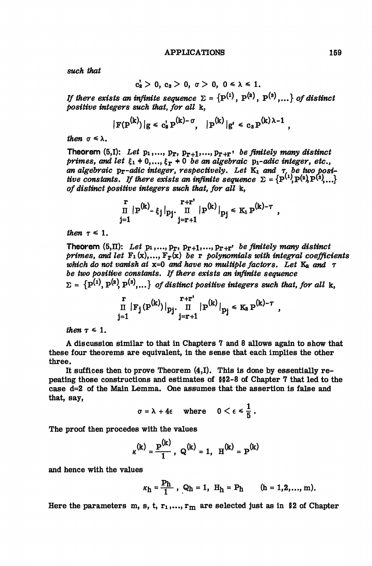*such that*

$$
c_2' > 0, c_3 > 0, \sigma > 0, 0 \leq \lambda \leq 1.
$$

If there exists an infinite sequence  $\bm{\Sigma}$  =  $\{ \mathbf{P^{(1)}},\ \mathbf{P^{(2)}},\ \mathbf{P^{(3)}},...\}$  of distinct *positive integers such that, for all* k,

$$
|\mathbf{F}(\mathbf{P}^{(k)})|g \le c_s^{\dagger} \mathbf{P}^{(k)-\sigma}, \quad |\mathbf{P}^{(k)}|g' \le c_s \mathbf{P}^{(k)\lambda-1},
$$

*then*  $\sigma \leq \lambda$ .

Theorem  $(5,I):$  Let  $p_1,..., p_T, p_{T+1},...,p_{T+T}$  *be finitely many distinct* primes, and let  $\xi_1$  + 0,...,  $\xi_{\mathbf{r}}$  + 0 be an algebraic p<sub>1</sub>-adic integer, etc., *an algebraic pr-adic integer, respectively. Let* Ki *and r be two positive constants. If there exists an infinite sequence*  $\Sigma = \{ \mathrm{P}^{(1)}, \mathrm{P}^{(2)}, \mathrm{P}^{(3)}, \ldots \}$ *of distinct positive integers such that, for all* k,

$$
\prod_{j=1}^r |P^{(k)} - \xi_j|_{p_j} \cdot \prod_{j=r+1}^{r+r} |P^{(k)}|_{p_j} \le K_1 P^{(k)-\tau} ,
$$

*then*  $\tau \leq 1$ .

Theorem (5,II): Let  $p_1, ..., p_r, p_{r+1}, ..., p_{r+r}$  be finitely many distinct *primes, and let* Fi (x),..., Fr(x) *be* r *polynomials with integral coefficients which do not vanish at*  $x=0$  *and have no multiple factors. Let*  $K_2$  *and*  $\tau$ *be two positive constants. If there exists an infinite sequence*  $\Sigma = \{P^{(1)}, P^{(2)}, P^{(3)}, ...\}$  of distinct positive integers such that, for all k,

,

$$
\prod_{j=1}^r |F_j(P^{(k)})|_{p_j} \cdot \prod_{j=r+1}^{r+r'} |P^{(k)}|_{p_j} \le K_2 P^{(k)-\tau}
$$

*then*  $\tau \leq 1$ .

A discussion similar to that in Chapters 7 and 8 allows again to show that these four theorems are equivalent, in the sense that each implies the other three.

It suffices then to prove Theorem (4,1). This is done by essentially repeating those constructions and estimates of §§2-8 of Chapter 7 that led to the case d=2 of the Main Lemma. One assumes that the assertion is false and that, say,

$$
\sigma = \lambda + 4\epsilon \quad \text{where} \quad 0 < \epsilon \leq \frac{1}{5} \, .
$$

The proof then procedes with the values

$$
\kappa^{(k)} = \frac{P^{(k)}}{1}
$$
,  $Q^{(k)} = 1$ ,  $H^{(k)} = P^{(k)}$ 

 $\overline{a}$ 

and hence with the values

$$
\kappa_h = \frac{P_h}{1}, \ Q_h = 1, \ H_h = P_h \qquad (h = 1, 2, ..., m).
$$

Here the parameters m, s, t,  $r_1,..., r_m$  are selected just as in §2 of Chapter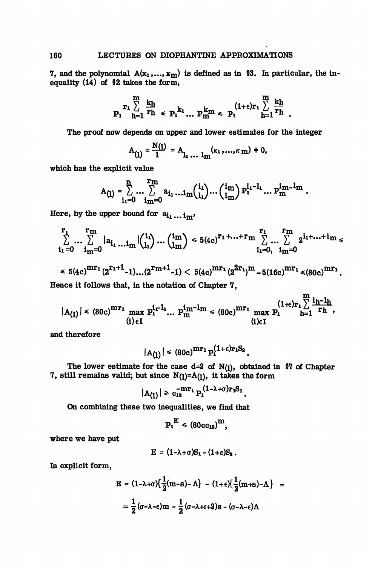7, and the polynomial  $A(x_1,...,x_m)$  is defined as in §3. In particular, the inequality (14) of §2 takes the form,

$$
P_1 \sum_{h=1}^{m} \frac{k_h}{r_h} \le P_1^{k_1} \dots P_m^{k_m} \le P_1^{(1+\epsilon)r_1} \sum_{h=1}^{m} \frac{k_h}{r_h}.
$$

The proof now depends on upper and lower estimates for the integer

$$
A_{(1)} = \frac{N(1)}{1} = A_{1}, \ldots 1_m^{(k_1, \ldots, k_m)} = 0,
$$

which has the explicit value

$$
A_{(1)} = \sum_{i_1=0}^{n_1} \dots \sum_{i_m=0}^{r_m} a_{i_1} \dots i_m {i_1 \choose i_1} \dots {i_m \choose i_m} p_1^{i_1-1} \dots p_m^{i_m-1_m}.
$$

Here, by the upper bound for  $a_{i_1...i_m}$ ,

$$
\sum_{i_1=0}^{r_1} \dots \sum_{i_m=0}^{r_m} |a_{i_1} \dots i_m| {i_1 \choose i_1} \dots {i_m \choose i_m} \le 5(4c)^{r_1 + \dots + r_m} \sum_{i_1=0}^{r_1} \dots \sum_{i_m=0}^{r_m} 2^{i_1 + \dots + i_m} \le
$$

$$
\leq 5(4c)^{mr_1}(2^{r_1+1}-1)...(2^{r_m+1}-1) < 5(4c)^{mr_1}(2^{2r_1})^m = 5(16c)^{mr_1} \leq (80c)^{mr_1}
$$
\nHence it follows that, in the notation of Chapter 7,

$$
|A_{(1)}| \leq (80c)^{m r_1} \max_{(i) \in I} P_1^{i_1 - l_1} \dots P_m^{i_m - l_m} \leq (80c)^{m r_1} \max_{(i) \in I} P_1^{(1+\epsilon) r_1 \sum_{h=1}^m \frac{i_h - i_h}{r_h}},
$$

and therefore

$$
|A_{(1)}| \leq (80c)^{mr_1} P_1^{(1+\epsilon)r_1S_2}
$$

The lower estimate for the case d=2 of  $N(1)$ , obtained in §7 of Chapter 7, still remains valid; but since  $N(1)=A(1)$ , it takes the form

$$
|A_{(1)}| \geq c_{12}^{-mr_1} P_1^{(1-\lambda+\sigma)r_1S_1}.
$$

On combining these two inequalities, we find that

$$
\mathbf{P_1}^{\mathrm{E}} \leq (80 \mathrm{cc}_{12})^{\mathrm{m}},
$$

where we have put

$$
\mathbf{E} = (1 - \lambda + \sigma) \mathbf{S}_1 - (1 + \epsilon) \mathbf{S}_2.
$$

In explicit form,

$$
E = (1 - \lambda + \sigma) \left\{ \frac{1}{2} (m - s) - \Lambda \right\} - (1 + \epsilon) \left\{ \frac{1}{2} (m + s) - \Lambda \right\} =
$$

$$
= \frac{1}{2} (\sigma - \lambda - \epsilon) m - \frac{1}{2} (\sigma - \lambda + \epsilon + 2) s - (\sigma - \lambda - \epsilon) \Lambda
$$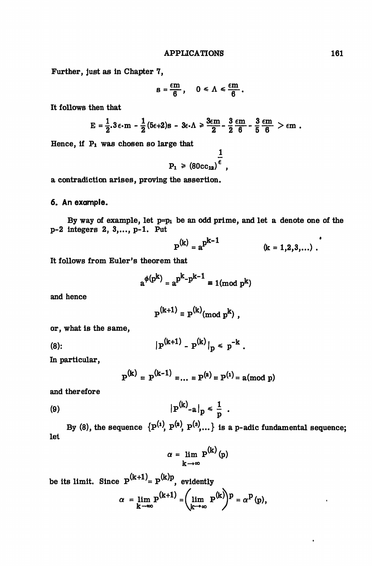Further, just as in Chapter 7,

$$
s=\frac{\epsilon m}{6}, \quad 0 \leq \Lambda \leq \frac{\epsilon m}{6}.
$$

It follows then that

$$
E = \frac{1}{2} \cdot 3 \varepsilon \cdot m - \frac{1}{2} (5\varepsilon + 2)s - 3\varepsilon \cdot \Lambda \ge \frac{3\varepsilon m}{2} - \frac{3}{2} \frac{\varepsilon m}{6} - \frac{3}{5} \frac{\varepsilon m}{6} > \varepsilon m.
$$

Hence, if Pi was chosen so large that

$$
P_1 \geq (80cc_{12})^{\frac{1}{\epsilon}},
$$

*1*

a contradiction arises, proving the assertion.

6. An example.

By way of example, let  $p=p_1$  be an odd prime, and let a denote one of the p-2 integers 2, 3,..., p-1. Put

$$
P^{(k)} = a^{p^{k-1}} \qquad (k = 1,2,3,...) .
$$

It follows from Euler's theorem that

$$
a^{\phi(p^k)} = a^{p^k - p^{k-1}} \equiv 1 \pmod{p^k}
$$

and hence

$$
P^{(k+1)} \equiv P^{(k)} \pmod{p^k},
$$

or, what is the same,

(8): 
$$
|P^{(k+1)} - P^{(k)}|_p \leq p^{-k}.
$$

In particular,

$$
P^{(k)} \equiv P^{(k-1)} \equiv ... \equiv P^{(k)} \equiv P^{(1)} = a \pmod{p}
$$

and therefore

$$
\left|\mathbf{P}^{(k)}\right|_{\mathbf{a}}\big|_{\mathbf{p}} \leq \frac{1}{p} \ .
$$

By (8), the sequence  $\{P^{(1)}, P^{(2)}, P^{(3)}, ...\}$  is a p-adic fundamental sequence; let

$$
\alpha = \lim_{k \to \infty} P^{(k)}(p)
$$

be its limit. Since  $\mathbf{P}^{(k+1)}$ =  $\mathbf{P}^{(k)p}$ , evidently

$$
\alpha = \lim_{k \to \infty} P^{(k+1)} = \left(\lim_{k \to \infty} P^{(k)}\right)^p = \alpha^p(p),
$$